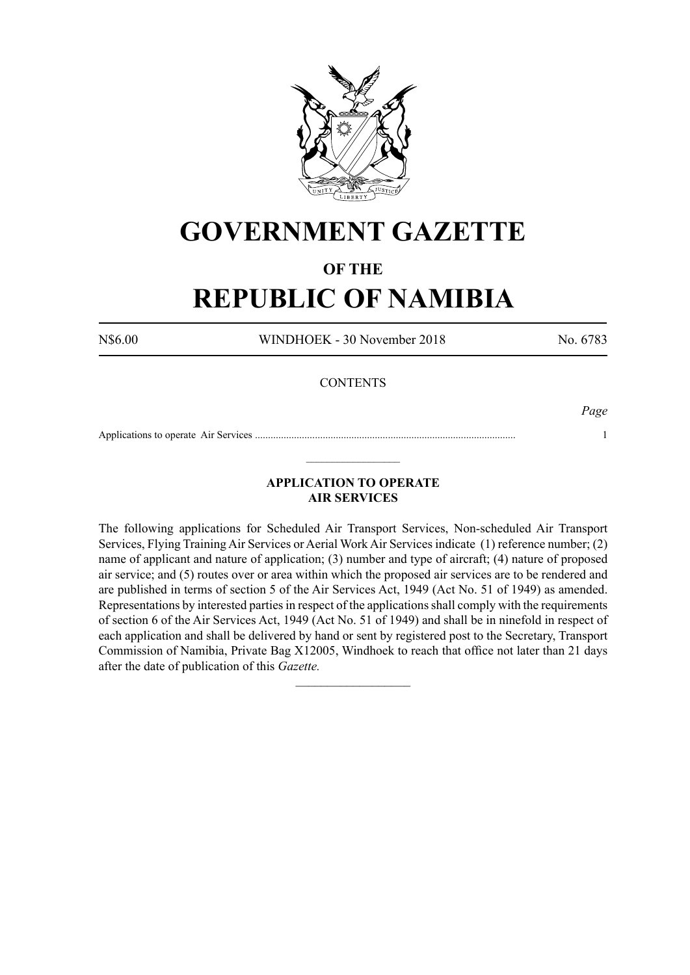

# **GOVERNMENT GAZETTE**

## **OF THE**

# **REPUBLIC OF NAMIBIA**

N\$6.00 WINDHOEK - 30 November 2018 No. 6783

### **CONTENTS**

*Page*

Applications to operate Air Services .................................................................................................... 1  $\_$ 

### **APPLICATION TO OPERATE AIR SERVICES**

The following applications for Scheduled Air Transport Services, Non-scheduled Air Transport Services, Flying Training Air Services or Aerial Work Air Services indicate (1) reference number; (2) name of applicant and nature of application; (3) number and type of aircraft; (4) nature of proposed air service; and (5) routes over or area within which the proposed air services are to be rendered and are published in terms of section 5 of the Air Services Act, 1949 (Act No. 51 of 1949) as amended. Representations by interested parties in respect of the applications shall comply with the requirements of section 6 of the Air Services Act, 1949 (Act No. 51 of 1949) and shall be in ninefold in respect of each application and shall be delivered by hand or sent by registered post to the Secretary, Transport Commission of Namibia, Private Bag X12005, Windhoek to reach that office not later than 21 days after the date of publication of this *Gazette.*

 $\frac{1}{2}$  ,  $\frac{1}{2}$  ,  $\frac{1}{2}$  ,  $\frac{1}{2}$  ,  $\frac{1}{2}$  ,  $\frac{1}{2}$  ,  $\frac{1}{2}$  ,  $\frac{1}{2}$  ,  $\frac{1}{2}$  ,  $\frac{1}{2}$